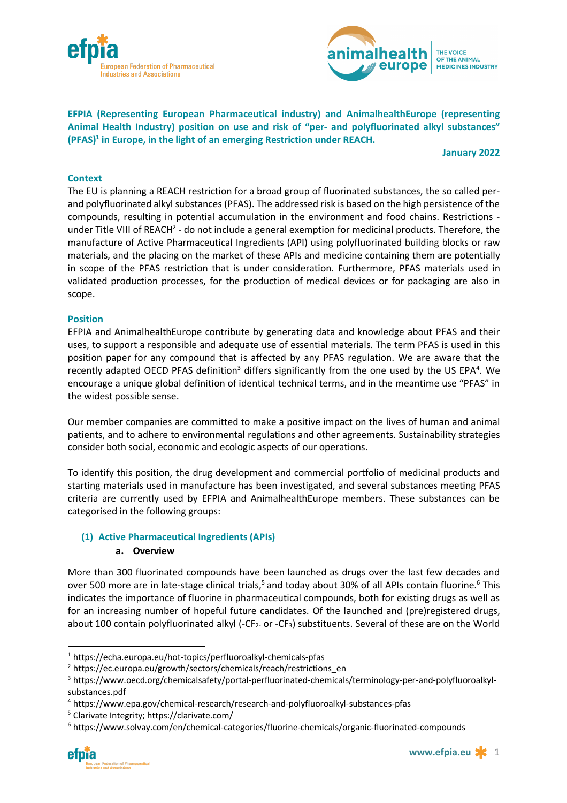



THE VOICE. OF THE ANIMAL **MEDICINES INDUSTRY** 

**EFPIA (Representing European Pharmaceutical industry) and AnimalhealthEurope (representing Animal Health Industry) position on use and risk of "per- and polyfluorinated alkyl substances" (PFAS)1 in Europe, in the light of an emerging Restriction under REACH.**

**January 2022**

#### **Context**

The EU is planning a REACH restriction for a broad group of fluorinated substances, the so called perand polyfluorinated alkyl substances (PFAS). The addressed risk is based on the high persistence of the compounds, resulting in potential accumulation in the environment and food chains. Restrictions under Title VIII of REACH<sup>2</sup> - do not include a general exemption for medicinal products. Therefore, the manufacture of Active Pharmaceutical Ingredients (API) using polyfluorinated building blocks or raw materials, and the placing on the market of these APIs and medicine containing them are potentially in scope of the PFAS restriction that is under consideration. Furthermore, PFAS materials used in validated production processes, for the production of medical devices or for packaging are also in scope.

#### **Position**

EFPIA and AnimalhealthEurope contribute by generating data and knowledge about PFAS and their uses, to support a responsible and adequate use of essential materials. The term PFAS is used in this position paper for any compound that is affected by any PFAS regulation. We are aware that the recently adapted OECD PFAS definition<sup>3</sup> differs significantly from the one used by the US EPA<sup>4</sup>. We encourage a unique global definition of identical technical terms, and in the meantime use "PFAS" in the widest possible sense.

Our member companies are committed to make a positive impact on the lives of human and animal patients, and to adhere to environmental regulations and other agreements. Sustainability strategies consider both social, economic and ecologic aspects of our operations.

To identify this position, the drug development and commercial portfolio of medicinal products and starting materials used in manufacture has been investigated, and several substances meeting PFAS criteria are currently used by EFPIA and AnimalhealthEurope members. These substances can be categorised in the following groups:

### **(1) Active Pharmaceutical Ingredients (APIs)**

### **a. Overview**

More than 300 fluorinated compounds have been launched as drugs over the last few decades and over 500 more are in late-stage clinical trials,<sup>5</sup> and today about 30% of all APIs contain fluorine.<sup>6</sup> This indicates the importance of fluorine in pharmaceutical compounds, both for existing drugs as well as for an increasing number of hopeful future candidates. Of the launched and (pre)registered drugs, about 100 contain polyfluorinated alkyl (-CF<sub>2</sub>. or -CF<sub>3</sub>) substituents. Several of these are on the World

 <sup>1</sup> https://echa.europa.eu/hot-topics/perfluoroalkyl-chemicals-pfas

<sup>&</sup>lt;sup>2</sup> https://ec.europa.eu/growth/sectors/chemicals/reach/restrictions\_en

<sup>3</sup> https://www.oecd.org/chemicalsafety/portal-perfluorinated-chemicals/terminology-per-and-polyfluoroalkylsubstances.pdf

<sup>4</sup> https://www.epa.gov/chemical-research/research-and-polyfluoroalkyl-substances-pfas

<sup>5</sup> Clarivate Integrity; https://clarivate.com/

<sup>6</sup> https://www.solvay.com/en/chemical-categories/fluorine-chemicals/organic-fluorinated-compounds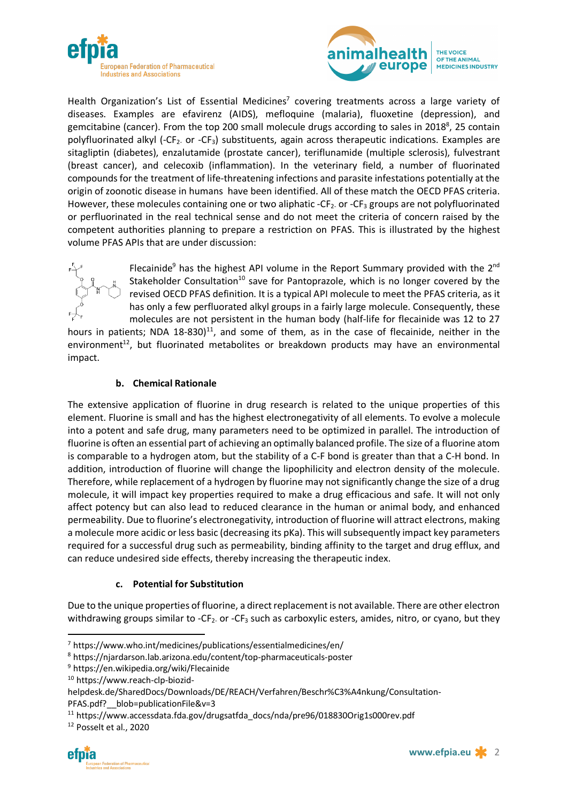



Health Organization's List of Essential Medicines<sup>7</sup> covering treatments across a large variety of diseases. Examples are efavirenz (AIDS), mefloquine (malaria), fluoxetine (depression), and gemcitabine (cancer). From the top 200 small molecule drugs according to sales in 2018<sup>8</sup>, 25 contain polyfluorinated alkyl (-CF<sub>2</sub> or -CF<sub>3</sub>) substituents, again across therapeutic indications. Examples are sitagliptin (diabetes), enzalutamide (prostate cancer), teriflunamide (multiple sclerosis), fulvestrant (breast cancer), and celecoxib (inflammation). In the veterinary field, a number of fluorinated compounds for the treatment of life-threatening infections and parasite infestations potentially at the origin of zoonotic disease in humans have been identified. All of these match the OECD PFAS criteria. However, these molecules containing one or two aliphatic - $CF_2$  or - $CF_3$  groups are not polyfluorinated or perfluorinated in the real technical sense and do not meet the criteria of concern raised by the competent authorities planning to prepare a restriction on PFAS. This is illustrated by the highest volume PFAS APIs that are under discussion:



Flecainide<sup>9</sup> has the highest API volume in the Report Summary provided with the  $2^{nd}$ Stakeholder Consultation<sup>10</sup> save for Pantoprazole, which is no longer covered by the revised OECD PFAS definition. It is a typical API molecule to meet the PFAS criteria, as it has only a few perfluorated alkyl groups in a fairly large molecule. Consequently, these molecules are not persistent in the human body (half-life for flecainide was 12 to 27

hours in patients; NDA 18-830)<sup>11</sup>, and some of them, as in the case of flecainide, neither in the environment $t^{12}$ , but fluorinated metabolites or breakdown products may have an environmental impact.

# **b. Chemical Rationale**

The extensive application of fluorine in drug research is related to the unique properties of this element. Fluorine is small and has the highest electronegativity of all elements. To evolve a molecule into a potent and safe drug, many parameters need to be optimized in parallel. The introduction of fluorine is often an essential part of achieving an optimally balanced profile. The size of a fluorine atom is comparable to a hydrogen atom, but the stability of a C-F bond is greater than that a C-H bond. In addition, introduction of fluorine will change the lipophilicity and electron density of the molecule. Therefore, while replacement of a hydrogen by fluorine may not significantly change the size of a drug molecule, it will impact key properties required to make a drug efficacious and safe. It will not only affect potency but can also lead to reduced clearance in the human or animal body, and enhanced permeability. Due to fluorine's electronegativity, introduction of fluorine will attract electrons, making a molecule more acidic or less basic (decreasing its pKa). This will subsequently impact key parameters required for a successful drug such as permeability, binding affinity to the target and drug efflux, and can reduce undesired side effects, thereby increasing the therapeutic index.

# **c. Potential for Substitution**

Due to the unique properties of fluorine, a direct replacement is not available. There are other electron withdrawing groups similar to -CF<sub>2</sub> or -CF<sub>3</sub> such as carboxylic esters, amides, nitro, or cyano, but they

 <sup>7</sup> https://www.who.int/medicines/publications/essentialmedicines/en/

<sup>8</sup> https://njardarson.lab.arizona.edu/content/top-pharmaceuticals-poster

<sup>9</sup> https://en.wikipedia.org/wiki/Flecainide

<sup>10</sup> https://www.reach-clp-biozid-

helpdesk.de/SharedDocs/Downloads/DE/REACH/Verfahren/Beschr%C3%A4nkung/Consultation-

PFAS.pdf? blob=publicationFile&v=3

<sup>&</sup>lt;sup>11</sup> https://www.accessdata.fda.gov/drugsatfda\_docs/nda/pre96/018830Orig1s000rev.pdf

<sup>12</sup> Posselt et al., 2020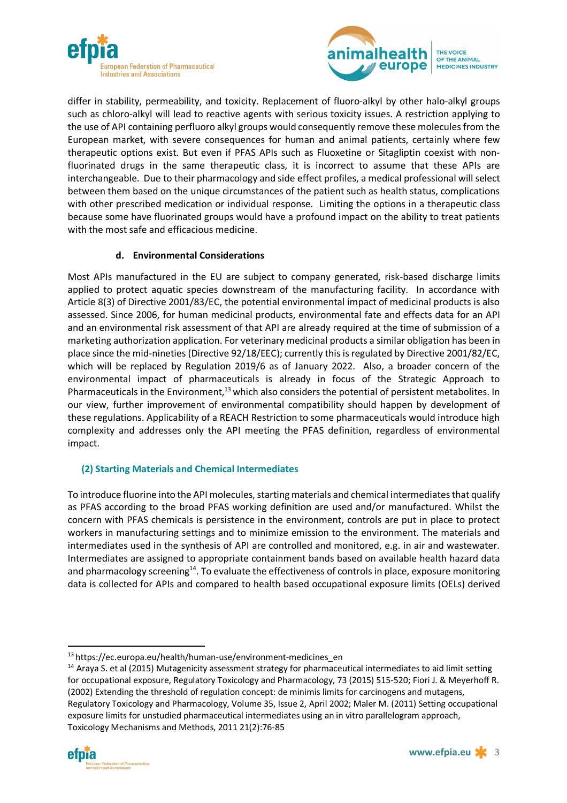



differ in stability, permeability, and toxicity. Replacement of fluoro-alkyl by other halo-alkyl groups such as chloro-alkyl will lead to reactive agents with serious toxicity issues. A restriction applying to the use of API containing perfluoro alkyl groups would consequently remove these molecules from the European market, with severe consequences for human and animal patients, certainly where few therapeutic options exist. But even if PFAS APIs such as Fluoxetine or Sitagliptin coexist with nonfluorinated drugs in the same therapeutic class, it is incorrect to assume that these APIs are interchangeable. Due to their pharmacology and side effect profiles, a medical professional will select between them based on the unique circumstances of the patient such as health status, complications with other prescribed medication or individual response. Limiting the options in a therapeutic class because some have fluorinated groups would have a profound impact on the ability to treat patients with the most safe and efficacious medicine.

### **d. Environmental Considerations**

Most APIs manufactured in the EU are subject to company generated, risk-based discharge limits applied to protect aquatic species downstream of the manufacturing facility. In accordance with Article 8(3) of Directive 2001/83/EC, the potential environmental impact of medicinal products is also assessed. Since 2006, for human medicinal products, environmental fate and effects data for an API and an environmental risk assessment of that API are already required at the time of submission of a marketing authorization application. For veterinary medicinal products a similar obligation has been in place since the mid-nineties (Directive 92/18/EEC); currently this is regulated by Directive 2001/82/EC, which will be replaced by Regulation 2019/6 as of January 2022. Also, a broader concern of the environmental impact of pharmaceuticals is already in focus of the Strategic Approach to Pharmaceuticals in the Environment,<sup>13</sup> which also considers the potential of persistent metabolites. In our view, further improvement of environmental compatibility should happen by development of these regulations. Applicability of a REACH Restriction to some pharmaceuticals would introduce high complexity and addresses only the API meeting the PFAS definition, regardless of environmental impact.

# **(2) Starting Materials and Chemical Intermediates**

To introduce fluorine into the API molecules, starting materials and chemical intermediates that qualify as PFAS according to the broad PFAS working definition are used and/or manufactured. Whilst the concern with PFAS chemicals is persistence in the environment, controls are put in place to protect workers in manufacturing settings and to minimize emission to the environment. The materials and intermediates used in the synthesis of API are controlled and monitored, e.g. in air and wastewater. Intermediates are assigned to appropriate containment bands based on available health hazard data and pharmacology screening<sup>14</sup>. To evaluate the effectiveness of controls in place, exposure monitoring data is collected for APIs and compared to health based occupational exposure limits (OELs) derived

<sup>13</sup> https://ec.europa.eu/health/human-use/environment-medicines\_en

<sup>&</sup>lt;sup>14</sup> Araya S. et al (2015) Mutagenicity assessment strategy for pharmaceutical intermediates to aid limit setting for occupational exposure, Regulatory Toxicology and Pharmacology, 73 (2015) 515-520; Fiori J. & Meyerhoff R. (2002) Extending the threshold of regulation concept: de minimis limits for carcinogens and mutagens, Regulatory Toxicology and Pharmacology, Volume 35, Issue 2, April 2002; Maler M. (2011) Setting occupational exposure limits for unstudied pharmaceutical intermediates using an in vitro parallelogram approach, Toxicology Mechanisms and Methods, 2011 21(2):76-85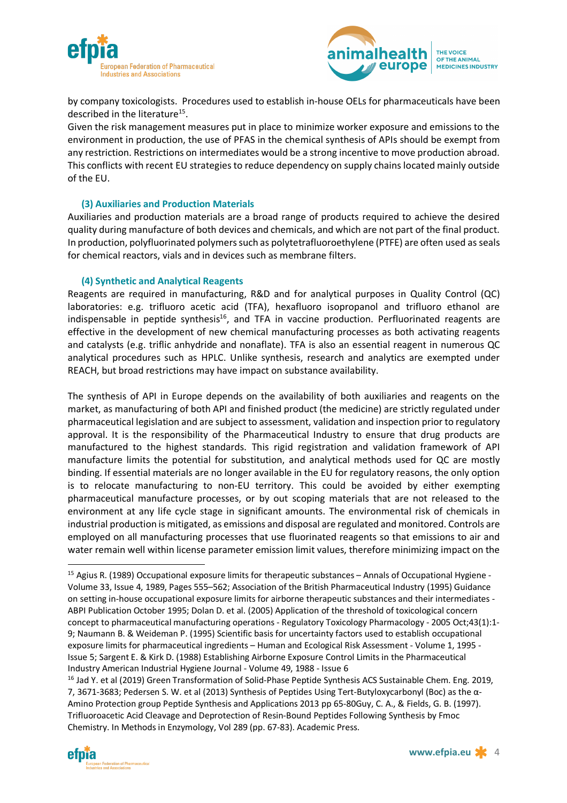



by company toxicologists. Procedures used to establish in-house OELs for pharmaceuticals have been described in the literature<sup>15</sup>.

Given the risk management measures put in place to minimize worker exposure and emissions to the environment in production, the use of PFAS in the chemical synthesis of APIs should be exempt from any restriction. Restrictions on intermediates would be a strong incentive to move production abroad. This conflicts with recent EU strategies to reduce dependency on supply chains located mainly outside of the EU.

### **(3) Auxiliaries and Production Materials**

Auxiliaries and production materials are a broad range of products required to achieve the desired quality during manufacture of both devices and chemicals, and which are not part of the final product. In production, polyfluorinated polymers such as polytetrafluoroethylene (PTFE) are often used as seals for chemical reactors, vials and in devices such as membrane filters.

#### **(4) Synthetic and Analytical Reagents**

Reagents are required in manufacturing, R&D and for analytical purposes in Quality Control (QC) laboratories: e.g. trifluoro acetic acid (TFA), hexafluoro isopropanol and trifluoro ethanol are indispensable in peptide synthesis<sup>16</sup>, and TFA in vaccine production. Perfluorinated reagents are effective in the development of new chemical manufacturing processes as both activating reagents and catalysts (e.g. triflic anhydride and nonaflate). TFA is also an essential reagent in numerous QC analytical procedures such as HPLC. Unlike synthesis, research and analytics are exempted under REACH, but broad restrictions may have impact on substance availability.

The synthesis of API in Europe depends on the availability of both auxiliaries and reagents on the market, as manufacturing of both API and finished product (the medicine) are strictly regulated under pharmaceutical legislation and are subject to assessment, validation and inspection prior to regulatory approval. It is the responsibility of the Pharmaceutical Industry to ensure that drug products are manufactured to the highest standards. This rigid registration and validation framework of API manufacture limits the potential for substitution, and analytical methods used for QC are mostly binding. If essential materials are no longer available in the EU for regulatory reasons, the only option is to relocate manufacturing to non-EU territory. This could be avoided by either exempting pharmaceutical manufacture processes, or by out scoping materials that are not released to the environment at any life cycle stage in significant amounts. The environmental risk of chemicals in industrial production is mitigated, as emissions and disposal are regulated and monitored. Controls are employed on all manufacturing processes that use fluorinated reagents so that emissions to air and water remain well within license parameter emission limit values, therefore minimizing impact on the

<sup>&</sup>lt;sup>15</sup> Agius R. (1989) Occupational exposure limits for therapeutic substances – Annals of Occupational Hygiene -Volume 33, Issue 4, 1989, Pages 555–562; Association of the British Pharmaceutical Industry (1995) Guidance on setting in-house occupational exposure limits for airborne therapeutic substances and their intermediates - ABPI Publication October 1995; Dolan D. et al. (2005) Application of the threshold of toxicological concern concept to pharmaceutical manufacturing operations - Regulatory Toxicology Pharmacology - 2005 Oct;43(1):1- 9; Naumann B. & Weideman P. (1995) Scientific basis for uncertainty factors used to establish occupational exposure limits for pharmaceutical ingredients – Human and Ecological Risk Assessment - Volume 1, 1995 - Issue 5; Sargent E. & Kirk D. (1988) Establishing Airborne Exposure Control Limits in the Pharmaceutical Industry American Industrial Hygiene Journal - Volume 49, 1988 - Issue 6

<sup>&</sup>lt;sup>16</sup> Jad Y. et al (2019) Green Transformation of Solid-Phase Peptide Synthesis ACS Sustainable Chem. Eng. 2019, 7, 3671-3683; Pedersen S. W. et al (2013) Synthesis of Peptides Using Tert-Butyloxycarbonyl (Boc) as the α-Amino Protection group Peptide Synthesis and Applications 2013 pp 65-80Guy, C. A., & Fields, G. B. (1997). Trifluoroacetic Acid Cleavage and Deprotection of Resin-Bound Peptides Following Synthesis by Fmoc Chemistry. In Methods in Enzymology, Vol 289 (pp. 67-83). Academic Press.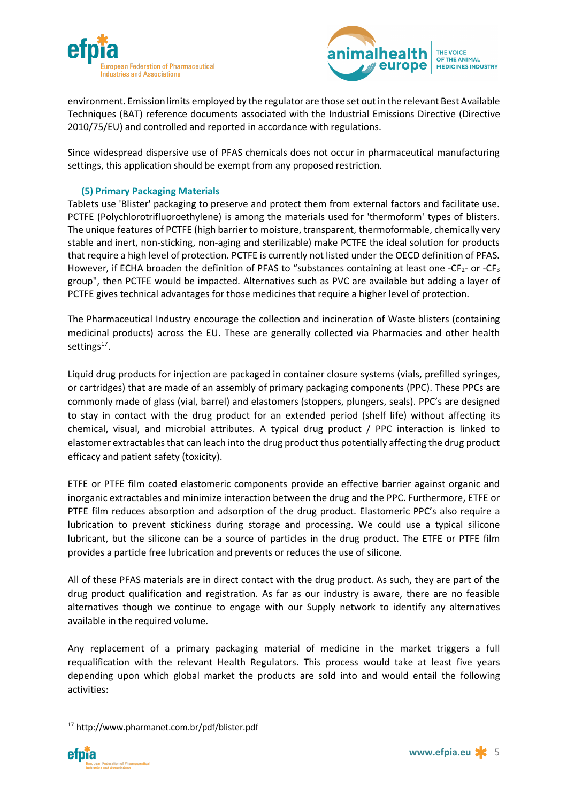



environment. Emission limits employed by the regulator are those set out in the relevant Best Available Techniques (BAT) reference documents associated with the Industrial Emissions Directive (Directive 2010/75/EU) and controlled and reported in accordance with regulations.

Since widespread dispersive use of PFAS chemicals does not occur in pharmaceutical manufacturing settings, this application should be exempt from any proposed restriction.

# **(5) Primary Packaging Materials**

Tablets use 'Blister' packaging to preserve and protect them from external factors and facilitate use. PCTFE (Polychlorotrifluoroethylene) is among the materials used for 'thermoform' types of blisters. The unique features of PCTFE (high barrier to moisture, transparent, thermoformable, chemically very stable and inert, non-sticking, non-aging and sterilizable) make PCTFE the ideal solution for products that require a high level of protection. PCTFE is currently not listed under the OECD definition of PFAS. However, if ECHA broaden the definition of PFAS to "substances containing at least one -CF<sub>2</sub>- or -CF<sub>3</sub> group", then PCTFE would be impacted. Alternatives such as PVC are available but adding a layer of PCTFE gives technical advantages for those medicines that require a higher level of protection.

The Pharmaceutical Industry encourage the collection and incineration of Waste blisters (containing medicinal products) across the EU. These are generally collected via Pharmacies and other health settings<sup>17</sup>.

Liquid drug products for injection are packaged in container closure systems (vials, prefilled syringes, or cartridges) that are made of an assembly of primary packaging components (PPC). These PPCs are commonly made of glass (vial, barrel) and elastomers (stoppers, plungers, seals). PPC's are designed to stay in contact with the drug product for an extended period (shelf life) without affecting its chemical, visual, and microbial attributes. A typical drug product / PPC interaction is linked to elastomer extractables that can leach into the drug product thus potentially affecting the drug product efficacy and patient safety (toxicity).

ETFE or PTFE film coated elastomeric components provide an effective barrier against organic and inorganic extractables and minimize interaction between the drug and the PPC. Furthermore, ETFE or PTFE film reduces absorption and adsorption of the drug product. Elastomeric PPC's also require a lubrication to prevent stickiness during storage and processing. We could use a typical silicone lubricant, but the silicone can be a source of particles in the drug product. The ETFE or PTFE film provides a particle free lubrication and prevents or reduces the use of silicone.

All of these PFAS materials are in direct contact with the drug product. As such, they are part of the drug product qualification and registration. As far as our industry is aware, there are no feasible alternatives though we continue to engage with our Supply network to identify any alternatives available in the required volume.

Any replacement of a primary packaging material of medicine in the market triggers a full requalification with the relevant Health Regulators. This process would take at least five years depending upon which global market the products are sold into and would entail the following activities:

 <sup>17</sup> http://www.pharmanet.com.br/pdf/blister.pdf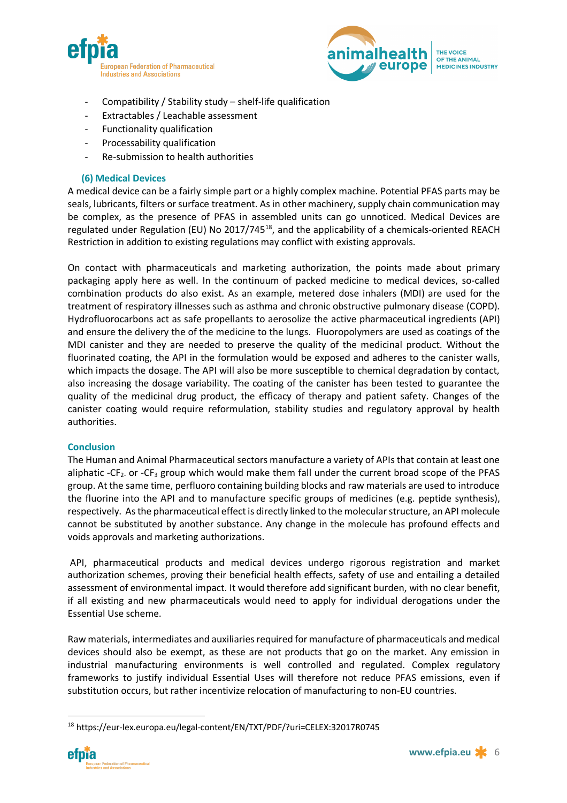



- Compatibility / Stability study shelf-life qualification
- Extractables / Leachable assessment
- Functionality qualification
- Processability qualification
- Re-submission to health authorities

### **(6) Medical Devices**

A medical device can be a fairly simple part or a highly complex machine. Potential PFAS parts may be seals, lubricants, filters or surface treatment. As in other machinery, supply chain communication may be complex, as the presence of PFAS in assembled units can go unnoticed. Medical Devices are regulated under Regulation (EU) No 2017/745<sup>18</sup>, and the applicability of a chemicals-oriented REACH Restriction in addition to existing regulations may conflict with existing approvals.

On contact with pharmaceuticals and marketing authorization, the points made about primary packaging apply here as well. In the continuum of packed medicine to medical devices, so-called combination products do also exist. As an example, metered dose inhalers (MDI) are used for the treatment of respiratory illnesses such as asthma and chronic obstructive pulmonary disease (COPD). Hydrofluorocarbons act as safe propellants to aerosolize the active pharmaceutical ingredients (API) and ensure the delivery the of the medicine to the lungs. Fluoropolymers are used as coatings of the MDI canister and they are needed to preserve the quality of the medicinal product. Without the fluorinated coating, the API in the formulation would be exposed and adheres to the canister walls, which impacts the dosage. The API will also be more susceptible to chemical degradation by contact, also increasing the dosage variability. The coating of the canister has been tested to guarantee the quality of the medicinal drug product, the efficacy of therapy and patient safety. Changes of the canister coating would require reformulation, stability studies and regulatory approval by health authorities.

### **Conclusion**

The Human and Animal Pharmaceutical sectors manufacture a variety of APIs that contain at least one aliphatic -CF<sub>2</sub> or -CF<sub>3</sub> group which would make them fall under the current broad scope of the PFAS group. At the same time, perfluoro containing building blocks and raw materials are used to introduce the fluorine into the API and to manufacture specific groups of medicines (e.g. peptide synthesis), respectively. As the pharmaceutical effect is directly linked to the molecular structure, an API molecule cannot be substituted by another substance. Any change in the molecule has profound effects and voids approvals and marketing authorizations.

API, pharmaceutical products and medical devices undergo rigorous registration and market authorization schemes, proving their beneficial health effects, safety of use and entailing a detailed assessment of environmental impact. It would therefore add significant burden, with no clear benefit, if all existing and new pharmaceuticals would need to apply for individual derogations under the Essential Use scheme.

Raw materials, intermediates and auxiliaries required for manufacture of pharmaceuticals and medical devices should also be exempt, as these are not products that go on the market. Any emission in industrial manufacturing environments is well controlled and regulated. Complex regulatory frameworks to justify individual Essential Uses will therefore not reduce PFAS emissions, even if substitution occurs, but rather incentivize relocation of manufacturing to non-EU countries.

 <sup>18</sup> https://eur-lex.europa.eu/legal-content/EN/TXT/PDF/?uri=CELEX:32017R0745